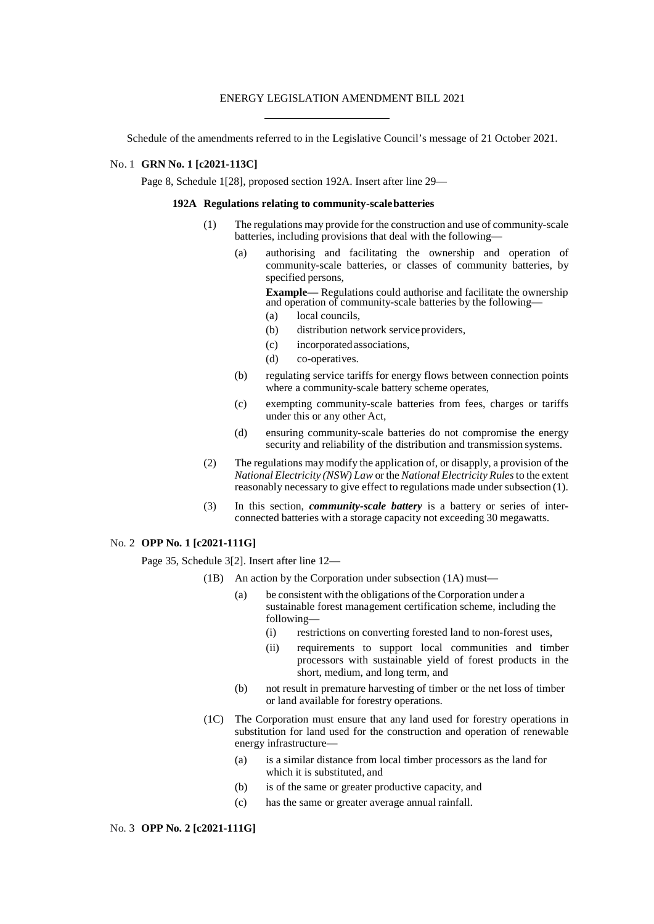### ENERGY LEGISLATION AMENDMENT BILL 2021

Schedule of the amendments referred to in the Legislative Council's message of 21 October 2021.

# No. 1 **GRN No. 1 [c2021-113C]**

Page 8, Schedule 1[28], proposed section 192A. Insert after line 29—

## **192A Regulations relating to community-scalebatteries**

- (1) The regulations may provide for the construction and use of community-scale batteries, including provisions that deal with the following—
	- (a) authorising and facilitating the ownership and operation of community-scale batteries, or classes of community batteries, by specified persons,

**Example—** Regulations could authorise and facilitate the ownership and operation of community-scale batteries by the following—

- (a) local councils,
- (b) distribution network serviceproviders,
- (c) incorporated associations,
- (d) co-operatives.
- (b) regulating service tariffs for energy flows between connection points where a community-scale battery scheme operates,
- (c) exempting community-scale batteries from fees, charges or tariffs under this or any other Act,
- (d) ensuring community-scale batteries do not compromise the energy security and reliability of the distribution and transmission systems.
- (2) The regulations may modify the application of, or disapply, a provision of the *National Electricity (NSW) Law* or the *National Electricity Rules*to the extent reasonably necessary to give effect to regulations made under subsection (1).
- (3) In this section, *community-scale battery* is a battery or series of interconnected batteries with a storage capacity not exceeding 30 megawatts.

## No. 2 **OPP No. 1 [c2021-111G]**

Page 35, Schedule 3[2]. Insert after line 12—

- (1B) An action by the Corporation under subsection (1A) must—
	- (a) be consistent with the obligations of the Corporation under a sustainable forest management certification scheme, including the following—
		- (i) restrictions on converting forested land to non-forest uses,
		- (ii) requirements to support local communities and timber processors with sustainable yield of forest products in the short, medium, and long term, and
	- (b) not result in premature harvesting of timber or the net loss of timber or land available for forestry operations.
- (1C) The Corporation must ensure that any land used for forestry operations in substitution for land used for the construction and operation of renewable energy infrastructure—
	- (a) is a similar distance from local timber processors as the land for which it is substituted, and
	- (b) is of the same or greater productive capacity, and
	- (c) has the same or greater average annual rainfall.

### No. 3 **OPP No. 2 [c2021-111G]**